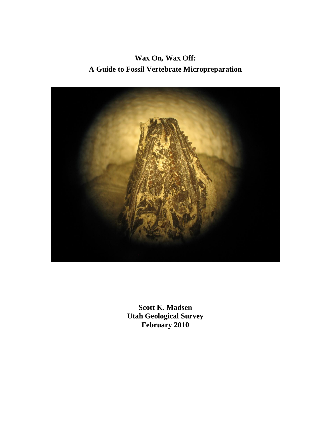**Wax On, Wax Off: A Guide to Fossil Vertebrate Micropreparation**



**Scott K. Madsen Utah Geological Survey February 2010**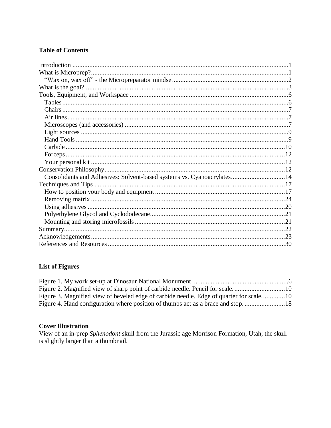# **Table of Contents**

| Consolidants and Adhesives: Solvent-based systems vs. Cyanoacrylates14 |  |
|------------------------------------------------------------------------|--|
|                                                                        |  |
|                                                                        |  |
|                                                                        |  |
|                                                                        |  |
|                                                                        |  |
|                                                                        |  |
|                                                                        |  |
|                                                                        |  |
|                                                                        |  |

# **List of Figures**

| Figure 2. Magnified view of sharp point of carbide needle. Pencil for scale10           |  |
|-----------------------------------------------------------------------------------------|--|
| Figure 3. Magnified view of beveled edge of carbide needle. Edge of quarter for scale10 |  |
|                                                                                         |  |

## **Cover Illustration**

View of an in-prep Sphenodont skull from the Jurassic age Morrison Formation, Utah; the skull is slightly larger than a thumbnail.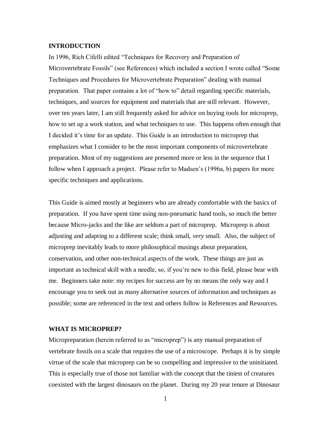## **INTRODUCTION**

In 1996, Rich Cifelli edited "Techniques for Recovery and Preparation of Microvertebrate Fossils" (see References) which included a section I wrote called "Some Techniques and Procedures for Microvertebrate Preparation" dealing with manual preparation. That paper contains a lot of "how to" detail regarding specific materials, techniques, and sources for equipment and materials that are still relevant. However, over ten years later, I am still frequently asked for advice on buying tools for microprep, how to set up a work station, and what techniques to use. This happens often enough that I decided it's time for an update. This Guide is an introduction to microprep that emphasizes what I consider to be the most important components of microvertebrate preparation. Most of my suggestions are presented more or less in the sequence that I follow when I approach a project. Please refer to Madsen's (1996a, b) papers for more specific techniques and applications.

This Guide is aimed mostly at beginners who are already comfortable with the basics of preparation. If you have spent time using non-pneumatic hand tools, so much the better because Micro-jacks and the like are seldom a part of microprep. Microprep is about adjusting and adapting to a different scale; think small, *very* small. Also, the subject of microprep inevitably leads to more philosophical musings about preparation, conservation, and other non-technical aspects of the work. These things are just as important as technical skill with a needle, so, if you're new to this field, please bear with me. Beginners take note: my recipes for success are by no means the only way and I encourage you to seek out as many alternative sources of information and techniques as possible; some are referenced in the text and others follow in References and Resources.

#### **WHAT IS MICROPREP?**

Micropreparation (herein referred to as "microprep") is any manual preparation of vertebrate fossils on a scale that requires the use of a microscope. Perhaps it is by simple virtue of the scale that microprep can be so compelling and impressive to the uninitiated. This is especially true of those not familiar with the concept that the tiniest of creatures coexisted with the largest dinosaurs on the planet. During my 20 year tenure at Dinosaur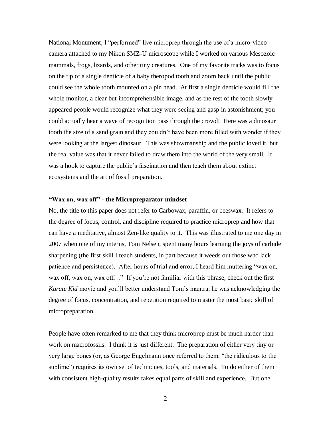National Monument, I "performed" live microprep through the use of a micro-video camera attached to my Nikon SMZ-U microscope while I worked on various Mesozoic mammals, frogs, lizards, and other tiny creatures. One of my favorite tricks was to focus on the tip of a single denticle of a baby theropod tooth and zoom back until the public could see the whole tooth mounted on a pin head. At first a single denticle would fill the whole monitor, a clear but incomprehensible image, and as the rest of the tooth slowly appeared people would recognize what they were seeing and gasp in astonishment; you could actually hear a wave of recognition pass through the crowd! Here was a dinosaur tooth the size of a sand grain and they couldn't have been more filled with wonder if they were looking at the largest dinosaur. This was showmanship and the public loved it, but the real value was that it never failed to draw them into the world of the very small. It was a hook to capture the public's fascination and then teach them about extinct ecosystems and the art of fossil preparation.

## **"Wax on, wax off" - the Micropreparator mindset**

No, the title to this paper does not refer to Carbowax, paraffin, or beeswax. It refers to the degree of focus, control, and discipline required to practice microprep and how that can have a meditative, almost Zen-like quality to it. This was illustrated to me one day in 2007 when one of my interns, Tom Nelsen, spent many hours learning the joys of carbide sharpening (the first skill I teach students, in part because it weeds out those who lack patience and persistence). After hours of trial and error, I heard him muttering "wax on, wax off, wax on, wax off..." If you're not familiar with this phrase, check out the first *Karate Kid* movie and you'll better understand Tom's mantra; he was acknowledging the degree of focus, concentration, and repetition required to master the most basic skill of micropreparation.

People have often remarked to me that they think microprep must be much harder than work on macrofossils. I think it is just different. The preparation of either very tiny or very large bones (or, as George Engelmann once referred to them, "the ridiculous to the sublime") requires its own set of techniques, tools, and materials. To do either of them with consistent high-quality results takes equal parts of skill and experience. But one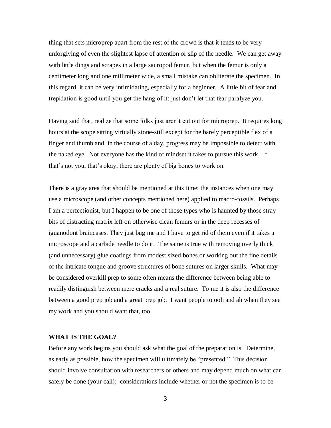thing that sets microprep apart from the rest of the crowd is that it tends to be very unforgiving of even the slightest lapse of attention or slip of the needle. We can get away with little dings and scrapes in a large sauropod femur, but when the femur is only a centimeter long and one millimeter wide, a small mistake can obliterate the specimen. In this regard, it can be very intimidating, especially for a beginner. A little bit of fear and trepidation is good until you get the hang of it; just don't let that fear paralyze you.

Having said that, realize that some folks just aren't cut out for microprep. It requires long hours at the scope sitting virtually stone-still except for the barely perceptible flex of a finger and thumb and, in the course of a day, progress may be impossible to detect with the naked eye. Not everyone has the kind of mindset it takes to pursue this work. If that's not you, that's okay; there are plenty of big bones to work on.

There is a gray area that should be mentioned at this time: the instances when one may use a microscope (and other concepts mentioned here) applied to macro-fossils. Perhaps I am a perfectionist, but I happen to be one of those types who is haunted by those stray bits of distracting matrix left on otherwise clean femurs or in the deep recesses of iguanodont braincases. They just bug me and I have to get rid of them even if it takes a microscope and a carbide needle to do it. The same is true with removing overly thick (and unnecessary) glue coatings from modest sized bones or working out the fine details of the intricate tongue and groove structures of bone sutures on larger skulls. What may be considered overkill prep to some often means the difference between being able to readily distinguish between mere cracks and a real suture. To me it is also the difference between a good prep job and a great prep job. I want people to ooh and ah when they see my work and you should want that, too.

#### **WHAT IS THE GOAL?**

Before any work begins you should ask what the goal of the preparation is. Determine, as early as possible, how the specimen will ultimately be "presented." This decision should involve consultation with researchers or others and may depend much on what can safely be done (your call); considerations include whether or not the specimen is to be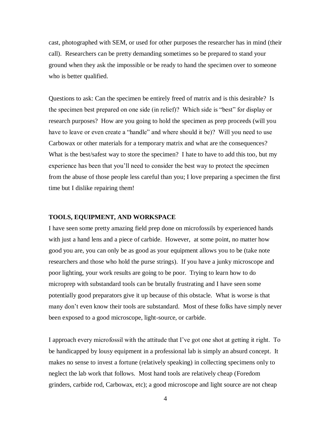cast, photographed with SEM, or used for other purposes the researcher has in mind (their call). Researchers can be pretty demanding sometimes so be prepared to stand your ground when they ask the impossible or be ready to hand the specimen over to someone who is better qualified.

Questions to ask: Can the specimen be entirely freed of matrix and is this desirable? Is the specimen best prepared on one side (in relief)? Which side is "best" for display or research purposes? How are you going to hold the specimen as prep proceeds (will you have to leave or even create a "handle" and where should it be)? Will you need to use Carbowax or other materials for a temporary matrix and what are the consequences? What is the best/safest way to store the specimen? I hate to have to add this too, but my experience has been that you'll need to consider the best way to protect the specimen from the abuse of those people less careful than you; I love preparing a specimen the first time but I dislike repairing them!

#### **TOOLS, EQUIPMENT, AND WORKSPACE**

I have seen some pretty amazing field prep done on microfossils by experienced hands with just a hand lens and a piece of carbide. However, at some point, no matter how good you are, you can only be as good as your equipment allows you to be (take note researchers and those who hold the purse strings). If you have a junky microscope and poor lighting, your work results are going to be poor. Trying to learn how to do microprep with substandard tools can be brutally frustrating and I have seen some potentially good preparators give it up because of this obstacle. What is worse is that many don't even know their tools are substandard. Most of these folks have simply never been exposed to a good microscope, light-source, or carbide.

I approach every microfossil with the attitude that I've got one shot at getting it right. To be handicapped by lousy equipment in a professional lab is simply an absurd concept. It makes no sense to invest a fortune (relatively speaking) in collecting specimens only to neglect the lab work that follows. Most hand tools are relatively cheap (Foredom grinders, carbide rod, Carbowax, etc); a good microscope and light source are not cheap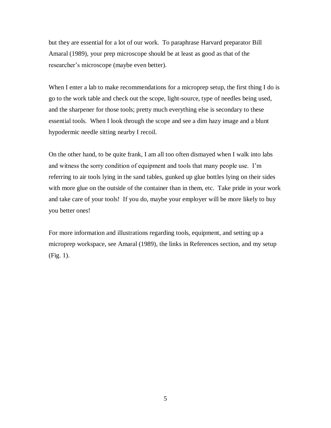but they are essential for a lot of our work. To paraphrase Harvard preparator Bill Amaral (1989), your prep microscope should be at least as good as that of the researcher's microscope (maybe even better).

When I enter a lab to make recommendations for a microprep setup, the first thing I do is go to the work table and check out the scope, light-source, type of needles being used, and the sharpener for those tools; pretty much everything else is secondary to these essential tools. When I look through the scope and see a dim hazy image and a blunt hypodermic needle sitting nearby I recoil.

On the other hand, to be quite frank, I am all too often dismayed when I walk into labs and witness the sorry condition of equipment and tools that many people use. I'm referring to air tools lying in the sand tables, gunked up glue bottles lying on their sides with more glue on the outside of the container than in them, etc. Take pride in your work and take care of your tools! If you do, maybe your employer will be more likely to buy you better ones!

For more information and illustrations regarding tools, equipment, and setting up a microprep workspace, see Amaral (1989), the links in References section, and my setup (Fig. 1).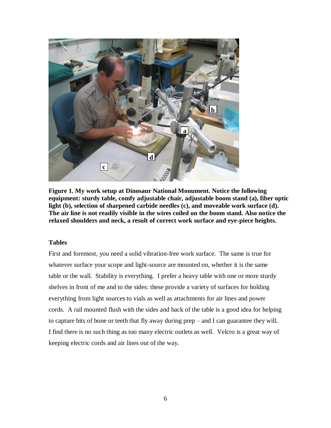

**Figure 1. My work setup at Dinosaur National Monument. Notice the following equipment: sturdy table, comfy adjustable chair, adjustable boom stand (a), fiber optic light (b), selection of sharpened carbide needles (c), and moveable work surface (d). The air line is not readily visible in the wires coiled on the boom stand. Also notice the relaxed shoulders and neck, a result of correct work surface and eye-piece heights.** 

## **Tables**

First and foremost, you need a solid vibration-free work surface. The same is true for whatever surface your scope and light-source are mounted on, whether it is the same table or the wall. Stability is everything. I prefer a heavy table with one or more sturdy shelves in front of me and to the sides: these provide a variety of surfaces for holding everything from light sources to vials as well as attachments for air lines and power cords. A rail mounted flush with the sides and back of the table is a good idea for helping to capture bits of bone or teeth that fly away during prep – and I can guarantee they will. I find there is no such thing as too many electric outlets as well. Velcro is a great way of keeping electric cords and air lines out of the way.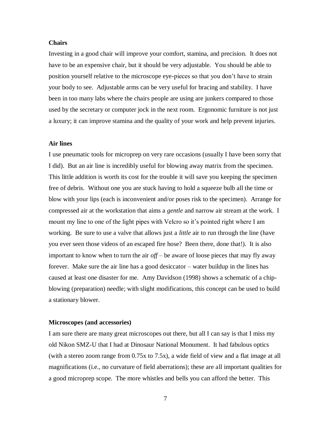### **Chairs**

Investing in a good chair will improve your comfort, stamina, and precision. It does not have to be an expensive chair, but it should be very adjustable. You should be able to position yourself relative to the microscope eye-pieces so that you don't have to strain your body to see. Adjustable arms can be very useful for bracing and stability. I have been in too many labs where the chairs people are using are junkers compared to those used by the secretary or computer jock in the next room. Ergonomic furniture is not just a luxury; it can improve stamina and the quality of your work and help prevent injuries.

## **Air lines**

I use pneumatic tools for microprep on very rare occasions (usually I have been sorry that I did). But an air line is incredibly useful for blowing away matrix from the specimen. This little addition is worth its cost for the trouble it will save you keeping the specimen free of debris. Without one you are stuck having to hold a squeeze bulb all the time or blow with your lips (each is inconvenient and/or poses risk to the specimen). Arrange for compressed air at the workstation that aims a *gentle* and narrow air stream at the work. I mount my line to one of the light pipes with Velcro so it's pointed right where I am working. Be sure to use a valve that allows just a *little* air to run through the line (have you ever seen those videos of an escaped fire hose? Been there, done that!). It is also important to know when to turn the air *off* – be aware of loose pieces that may fly away forever. Make sure the air line has a good desiccator – water buildup in the lines has caused at least one disaster for me. Amy Davidson (1998) shows a schematic of a chipblowing (preparation) needle; with slight modifications, this concept can be used to build a stationary blower.

#### **Microscopes (and accessories)**

I am sure there are many great microscopes out there, but all I can say is that I miss my old Nikon SMZ-U that I had at Dinosaur National Monument. It had fabulous optics (with a stereo zoom range from 0.75x to 7.5x), a wide field of view and a flat image at all magnifications (i.e., no curvature of field aberrations); these are all important qualities for a good microprep scope. The more whistles and bells you can afford the better. This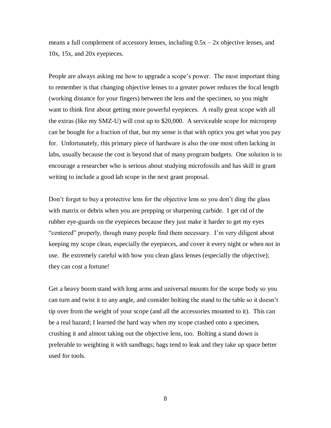means a full complement of accessory lenses, including  $0.5x - 2x$  objective lenses, and 10x, 15x, and 20x eyepieces.

People are always asking me how to upgrade a scope's power. The most important thing to remember is that changing objective lenses to a greater power reduces the focal length (working distance for your fingers) between the lens and the specimen, so you might want to think first about getting more powerful eyepieces. A really great scope with all the extras (like my SMZ-U) will cost up to \$20,000. A serviceable scope for microprep can be bought for a fraction of that, but my sense is that with optics you get what you pay for. Unfortunately, this primary piece of hardware is also the one most often lacking in labs, usually because the cost is beyond that of many program budgets. One solution is to encourage a researcher who is serious about studying microfossils and has skill in grant writing to include a good lab scope in the next grant proposal.

Don't forget to buy a protective lens for the objective lens so you don't ding the glass with matrix or debris when you are prepping or sharpening carbide. I get rid of the rubber eye-guards on the eyepieces because they just make it harder to get my eyes "centered" properly, though many people find them necessary. I'm very diligent about keeping my scope clean, especially the eyepieces, and cover it every night or when not in use. Be extremely careful with how you clean glass lenses (especially the objective); they can cost a fortune!

Get a heavy boom stand with long arms and universal mounts for the scope body so you can turn and twist it to any angle, and consider bolting the stand to the table so it doesn't tip over from the weight of your scope (and all the accessories mounted to it). This can be a real hazard; I learned the hard way when my scope crashed onto a specimen, crushing it and almost taking out the objective lens, too. Bolting a stand down is preferable to weighting it with sandbags; bags tend to leak and they take up space better used for tools.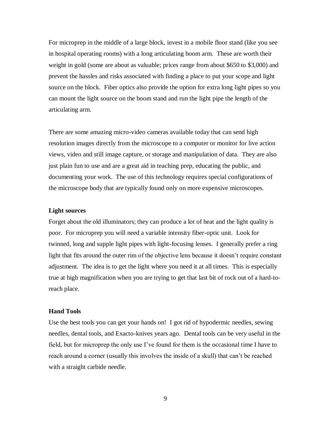For microprep in the middle of a large block, invest in a mobile floor stand (like you see in hospital operating rooms) with a long articulating boom arm. These are worth their weight in gold (some are about as valuable; prices range from about \$650 to \$3,000) and prevent the hassles and risks associated with finding a place to put your scope and light source on the block. Fiber optics also provide the option for extra long light pipes so you can mount the light source on the boom stand and run the light pipe the length of the articulating arm.

There are some amazing micro-video cameras available today that can send high resolution images directly from the microscope to a computer or monitor for live action views, video and still image capture, or storage and manipulation of data. They are also just plain fun to use and are a great aid in teaching prep, educating the public, and documenting your work. The use of this technology requires special configurations of the microscope body that are typically found only on more expensive microscopes.

### **Light sources**

Forget about the old illuminators; they can produce a lot of heat and the light quality is poor. For microprep you will need a variable intensity fiber-optic unit. Look for twinned, long and supple light pipes with light-focusing lenses. I generally prefer a ring light that fits around the outer rim of the objective lens because it doesn't require constant adjustment. The idea is to get the light where you need it at all times. This is especially true at high magnification when you are trying to get that last bit of rock out of a hard-toreach place.

#### **Hand Tools**

Use the best tools you can get your hands on! I got rid of hypodermic needles, sewing needles, dental tools, and Exacto-knives years ago. Dental tools can be very useful in the field, but for microprep the only use I've found for them is the occasional time I have to reach around a corner (usually this involves the inside of a skull) that can't be reached with a straight carbide needle.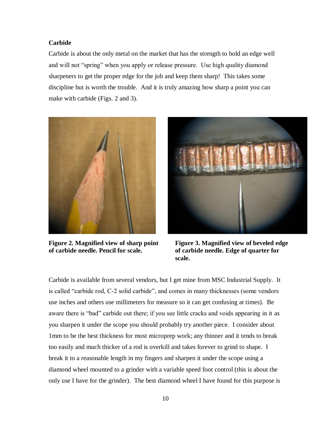## **Carbide**

Carbide is about the only metal on the market that has the strength to hold an edge well and will not "spring" when you apply or release pressure. Use high quality diamond sharpeners to get the proper edge for the job and keep them sharp! This takes some discipline but is worth the trouble. And it is truly amazing how sharp a point you can make with carbide (Figs. 2 and 3).



**Figure 2. Magnified view of sharp point of carbide needle. Pencil for scale.**



**Figure 3. Magnified view of beveled edge of carbide needle. Edge of quarter for scale.**

Carbide is available from several vendors, but I get mine from MSC Industrial Supply. It is called "carbide rod, C-2 solid carbide", and comes in many thicknesses (some vendors use inches and others use millimeters for measure so it can get confusing at times). Be aware there is "bad" carbide out there; if you see little cracks and voids appearing in it as you sharpen it under the scope you should probably try another piece. I consider about 1mm to be the best thickness for most microprep work; any thinner and it tends to break too easily and much thicker of a rod is overkill and takes forever to grind to shape. I break it to a reasonable length in my fingers and sharpen it under the scope using a diamond wheel mounted to a grinder with a variable speed foot control (this is about the only use I have for the grinder). The best diamond wheel I have found for this purpose is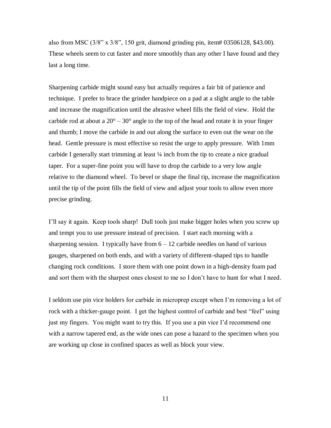also from MSC (3/8" x 3/8", 150 grit, diamond grinding pin, item# 03506128, \$43.00). These wheels seem to cut faster and more smoothly than any other I have found and they last a long time.

Sharpening carbide might sound easy but actually requires a fair bit of patience and technique. I prefer to brace the grinder handpiece on a pad at a slight angle to the table and increase the magnification until the abrasive wheel fills the field of view. Hold the carbide rod at about a  $20^{\circ} - 30^{\circ}$  angle to the top of the head and rotate it in your finger and thumb; I move the carbide in and out along the surface to even out the wear on the head. Gentle pressure is most effective so resist the urge to apply pressure. With 1mm carbide I generally start trimming at least ¼ inch from the tip to create a nice gradual taper. For a super-fine point you will have to drop the carbide to a very low angle relative to the diamond wheel. To bevel or shape the final tip, increase the magnification until the tip of the point fills the field of view and adjust your tools to allow even more precise grinding.

I'll say it again. Keep tools sharp! Dull tools just make bigger holes when you screw up and tempt you to use pressure instead of precision. I start each morning with a sharpening session. I typically have from  $6 - 12$  carbide needles on hand of various gauges, sharpened on both ends, and with a variety of different-shaped tips to handle changing rock conditions. I store them with one point down in a high-density foam pad and sort them with the sharpest ones closest to me so I don't have to hunt for what I need.

I seldom use pin vice holders for carbide in microprep except when I'm removing a lot of rock with a thicker-gauge point. I get the highest control of carbide and best "feel" using just my fingers. You might want to try this. If you use a pin vice I'd recommend one with a narrow tapered end, as the wide ones can pose a hazard to the specimen when you are working up close in confined spaces as well as block your view.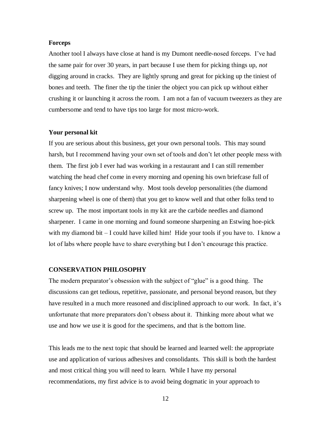#### **Forceps**

Another tool I always have close at hand is my Dumont needle-nosed forceps. I've had the same pair for over 30 years, in part because I use them for picking things up, *not* digging around in cracks. They are lightly sprung and great for picking up the tiniest of bones and teeth. The finer the tip the tinier the object you can pick up without either crushing it or launching it across the room. I am not a fan of vacuum tweezers as they are cumbersome and tend to have tips too large for most micro-work.

### **Your personal kit**

If you are serious about this business, get your own personal tools. This may sound harsh, but I recommend having your own set of tools and don't let other people mess with them. The first job I ever had was working in a restaurant and I can still remember watching the head chef come in every morning and opening his own briefcase full of fancy knives; I now understand why. Most tools develop personalities (the diamond sharpening wheel is one of them) that you get to know well and that other folks tend to screw up. The most important tools in my kit are the carbide needles and diamond sharpener. I came in one morning and found someone sharpening an Estwing hoe-pick with my diamond bit – I could have killed him! Hide your tools if you have to. I know a lot of labs where people have to share everything but I don't encourage this practice.

#### **CONSERVATION PHILOSOPHY**

The modern preparator's obsession with the subject of "glue" is a good thing. The discussions can get tedious, repetitive, passionate, and personal beyond reason, but they have resulted in a much more reasoned and disciplined approach to our work. In fact, it's unfortunate that more preparators don't obsess about it. Thinking more about what we use and how we use it is good for the specimens, and that is the bottom line.

This leads me to the next topic that should be learned and learned well: the appropriate use and application of various adhesives and consolidants. This skill is both the hardest and most critical thing you will need to learn. While I have my personal recommendations, my first advice is to avoid being dogmatic in your approach to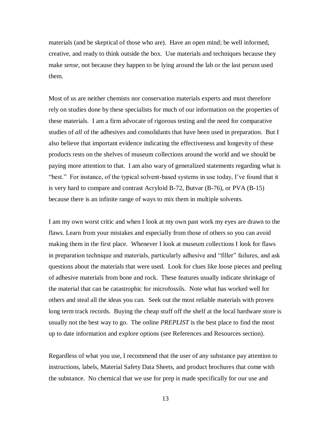materials (and be skeptical of those who are). Have an open mind; be well informed, creative, and ready to think outside the box. Use materials and techniques because they make *sense*, not because they happen to be lying around the lab or the last person used them.

Most of us are neither chemists nor conservation materials experts and must therefore rely on studies done by these specialists for much of our information on the properties of these materials. I am a firm advocate of rigorous testing and the need for comparative studies of *all* of the adhesives and consolidants that have been used in preparation. But I also believe that important evidence indicating the effectiveness and longevity of these products rests on the shelves of museum collections around the world and we should be paying more attention to that. I am also wary of generalized statements regarding what is "best." For instance, of the typical solvent-based systems in use today, I've found that it is very hard to compare and contrast Acryloid B-72, Butvar (B-76), or PVA (B-15) because there is an infinite range of ways to mix them in multiple solvents.

I am my own worst critic and when I look at my own past work my eyes are drawn to the flaws. Learn from your mistakes and especially from those of others so you can avoid making them in the first place. Whenever I look at museum collections I look for flaws in preparation technique and materials, particularly adhesive and "filler" failures, and ask questions about the materials that were used. Look for clues like loose pieces and peeling of adhesive materials from bone and rock. These features usually indicate shrinkage of the material that can be catastrophic for microfossils. Note what has worked well for others and steal all the ideas you can. Seek out the most reliable materials with proven long term track records. Buying the cheap stuff off the shelf at the local hardware store is usually not the best way to go. The online *PREPLIST* is the best place to find the most up to date information and explore options (see References and Resources section).

Regardless of what you use, I recommend that the user of any substance pay attention to instructions, labels, Material Safety Data Sheets, and product brochures that come with the substance. No chemical that we use for prep is made specifically for our use and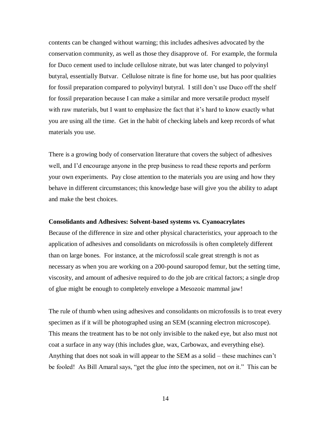contents can be changed without warning; this includes adhesives advocated by the conservation community, as well as those they disapprove of. For example, the formula for Duco cement used to include cellulose nitrate, but was later changed to polyvinyl butyral, essentially Butvar. Cellulose nitrate is fine for home use, but has poor qualities for fossil preparation compared to polyvinyl butyral. I still don't use Duco off the shelf for fossil preparation because I can make a similar and more versatile product myself with raw materials, but I want to emphasize the fact that it's hard to know exactly what you are using all the time. Get in the habit of checking labels and keep records of what materials you use.

There is a growing body of conservation literature that covers the subject of adhesives well, and I'd encourage anyone in the prep business to read these reports and perform your own experiments. Pay close attention to the materials you are using and how they behave in different circumstances; this knowledge base will give you the ability to adapt and make the best choices.

#### **Consolidants and Adhesives: Solvent-based systems vs. Cyanoacrylates**

Because of the difference in size and other physical characteristics, your approach to the application of adhesives and consolidants on microfossils is often completely different than on large bones. For instance, at the microfossil scale great strength is not as necessary as when you are working on a 200-pound sauropod femur, but the setting time, viscosity, and amount of adhesive required to do the job are critical factors; a single drop of glue might be enough to completely envelope a Mesozoic mammal jaw!

The rule of thumb when using adhesives and consolidants on microfossils is to treat every specimen as if it will be photographed using an SEM (scanning electron microscope). This means the treatment has to be not only invisible to the naked eye, but also must not coat a surface in any way (this includes glue, wax, Carbowax, and everything else). Anything that does not soak in will appear to the SEM as a solid – these machines can't be fooled! As Bill Amaral says, "get the glue *into* the specimen, not *on* it." This can be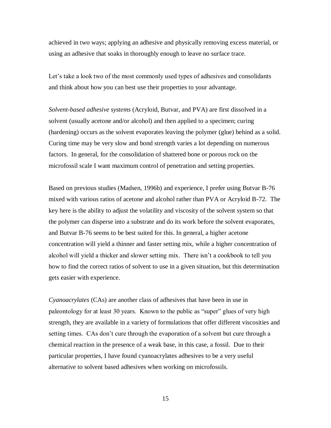achieved in two ways; applying an adhesive and physically removing excess material, or using an adhesive that soaks in thoroughly enough to leave no surface trace.

Let's take a look two of the most commonly used types of adhesives and consolidants and think about how you can best use their properties to your advantage.

*Solvent-based adhesive systems* (Acryloid, Butvar, and PVA) are first dissolved in a solvent (usually acetone and/or alcohol) and then applied to a specimen; curing (hardening) occurs as the solvent evaporates leaving the polymer (glue) behind as a solid. Curing time may be very slow and bond strength varies a lot depending on numerous factors. In general, for the consolidation of shattered bone or porous rock on the microfossil scale I want maximum control of penetration and setting properties.

Based on previous studies (Madsen, 1996b) and experience, I prefer using Butvar B-76 mixed with various ratios of acetone and alcohol rather than PVA or Acryloid B-72. The key here is the ability to adjust the volatility and viscosity of the solvent system so that the polymer can disperse into a substrate and do its work before the solvent evaporates, and Butvar B-76 seems to be best suited for this. In general, a higher acetone concentration will yield a thinner and faster setting mix, while a higher concentration of alcohol will yield a thicker and slower setting mix. There isn't a cookbook to tell you how to find the correct ratios of solvent to use in a given situation, but this determination gets easier with experience.

*Cyanoacrylates* (CAs) are another class of adhesives that have been in use in paleontology for at least 30 years. Known to the public as "super" glues of very high strength, they are available in a variety of formulations that offer different viscosities and setting times. CAs don't cure through the evaporation of a solvent but cure through a chemical reaction in the presence of a weak base, in this case, a fossil. Due to their particular properties, I have found cyanoacrylates adhesives to be a very useful alternative to solvent based adhesives when working on microfossils.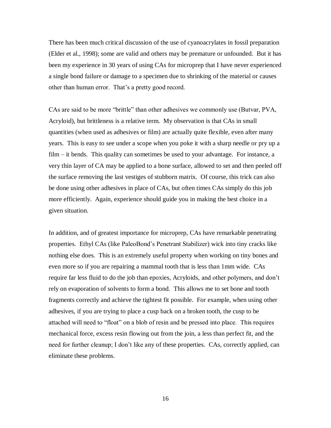There has been much critical discussion of the use of cyanoacrylates in fossil preparation (Elder et al., 1998); some are valid and others may be premature or unfounded. But it has been my experience in 30 years of using CAs for microprep that I have never experienced a single bond failure or damage to a specimen due to shrinking of the material or causes other than human error. That's a pretty good record.

CAs are said to be more "brittle" than other adhesives we commonly use (Butvar, PVA, Acryloid), but brittleness is a relative term. My observation is that CAs in small quantities (when used as adhesives or film) are actually quite flexible, even after many years. This is easy to see under a scope when you poke it with a sharp needle or pry up a film – it bends. This quality can sometimes be used to your advantage. For instance, a very thin layer of CA may be applied to a bone surface, allowed to set and then peeled off the surface removing the last vestiges of stubborn matrix. Of course, this trick can also be done using other adhesives in place of CAs, but often times CAs simply do this job more efficiently. Again, experience should guide you in making the best choice in a given situation.

In addition, and of greatest importance for microprep, CAs have remarkable penetrating properties. Ethyl CAs (like PaleoBond's Penetrant Stabilizer) wick into tiny cracks like nothing else does. This is an extremely useful property when working on tiny bones and even more so if you are repairing a mammal tooth that is less than 1mm wide. CAs require far less fluid to do the job than epoxies, Acryloids, and other polymers, and don't rely on evaporation of solvents to form a bond. This allows me to set bone and tooth fragments correctly and achieve the tightest fit possible. For example, when using other adhesives, if you are trying to place a cusp back on a broken tooth, the cusp to be attached will need to "float" on a blob of resin and be pressed into place. This requires mechanical force, excess resin flowing out from the join, a less than perfect fit, and the need for further cleanup; I don't like any of these properties. CAs, correctly applied, can eliminate these problems.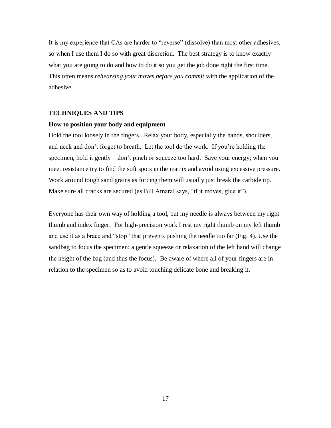It is my experience that CAs are harder to "reverse" (dissolve) than most other adhesives, so when I use them I do so with great discretion. The best strategy is to know exactly what you are going to do and how to do it so you get the job done right the first time. This often means *rehearsing your moves before you commit* with the application of the adhesive.

#### **TECHNIQUES AND TIPS**

### **How to position your body and equipment**

Hold the tool loosely in the fingers. Relax your body, especially the hands, shoulders, and neck and don't forget to breath. Let the tool do the work. If you're holding the specimen, hold it gently – don't pinch or squeeze too hard. Save your energy; when you meet resistance try to find the soft spots in the matrix and avoid using excessive pressure. Work around tough sand grains as forcing them will usually just break the carbide tip. Make sure all cracks are secured (as Bill Amaral says, "if it moves, glue it").

Everyone has their own way of holding a tool, but my needle is always between my right thumb and index finger. For high-precision work I rest my right thumb on my left thumb and use it as a brace and "stop" that prevents pushing the needle too far (Fig. 4). Use the sandbag to focus the specimen; a gentle squeeze or relaxation of the left hand will change the height of the bag (and thus the focus). Be aware of where all of your fingers are in relation to the specimen so as to avoid touching delicate bone and breaking it.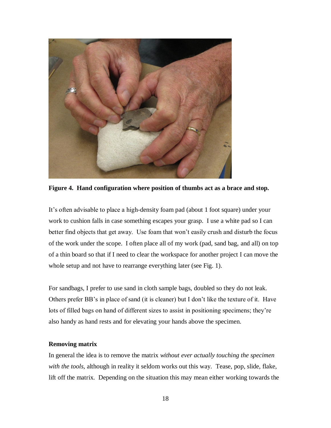

**Figure 4. Hand configuration where position of thumbs act as a brace and stop.**

It's often advisable to place a high-density foam pad (about 1 foot square) under your work to cushion falls in case something escapes your grasp. I use a white pad so I can better find objects that get away. Use foam that won't easily crush and disturb the focus of the work under the scope. I often place all of my work (pad, sand bag, and all) on top of a thin board so that if I need to clear the workspace for another project I can move the whole setup and not have to rearrange everything later (see Fig. 1).

For sandbags, I prefer to use sand in cloth sample bags, doubled so they do not leak. Others prefer BB's in place of sand (it is cleaner) but I don't like the texture of it. Have lots of filled bags on hand of different sizes to assist in positioning specimens; they're also handy as hand rests and for elevating your hands above the specimen.

## **Removing matrix**

In general the idea is to remove the matrix *without ever actually touching the specimen with the tools,* although in reality it seldom works out this way*.* Tease, pop, slide, flake, lift off the matrix. Depending on the situation this may mean either working towards the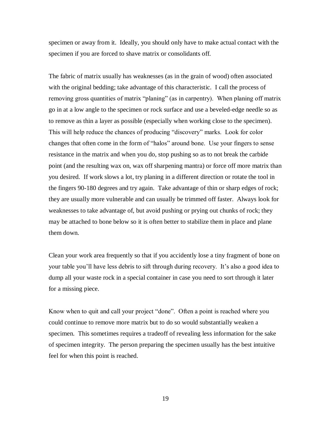specimen or away from it. Ideally, you should only have to make actual contact with the specimen if you are forced to shave matrix or consolidants off.

The fabric of matrix usually has weaknesses (as in the grain of wood) often associated with the original bedding; take advantage of this characteristic. I call the process of removing gross quantities of matrix "planing" (as in carpentry). When planing off matrix go in at a low angle to the specimen or rock surface and use a beveled-edge needle so as to remove as thin a layer as possible (especially when working close to the specimen). This will help reduce the chances of producing "discovery" marks. Look for color changes that often come in the form of "halos" around bone. Use your fingers to sense resistance in the matrix and when you do, stop pushing so as to not break the carbide point (and the resulting wax on, wax off sharpening mantra) or force off more matrix than you desired. If work slows a lot, try planing in a different direction or rotate the tool in the fingers 90-180 degrees and try again. Take advantage of thin or sharp edges of rock; they are usually more vulnerable and can usually be trimmed off faster. Always look for weaknesses to take advantage of, but avoid pushing or prying out chunks of rock; they may be attached to bone below so it is often better to stabilize them in place and plane them down.

Clean your work area frequently so that if you accidently lose a tiny fragment of bone on your table you'll have less debris to sift through during recovery. It's also a good idea to dump all your waste rock in a special container in case you need to sort through it later for a missing piece.

Know when to quit and call your project "done". Often a point is reached where you could continue to remove more matrix but to do so would substantially weaken a specimen. This sometimes requires a tradeoff of revealing less information for the sake of specimen integrity. The person preparing the specimen usually has the best intuitive feel for when this point is reached.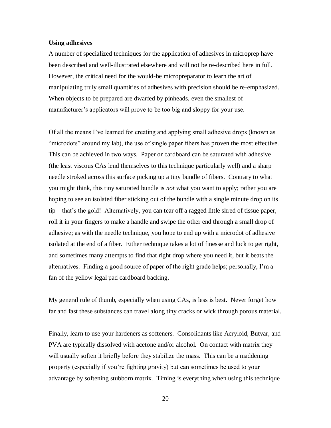#### **Using adhesives**

A number of specialized techniques for the application of adhesives in microprep have been described and well-illustrated elsewhere and will not be re-described here in full. However, the critical need for the would-be micropreparator to learn the art of manipulating truly small quantities of adhesives with precision should be re-emphasized. When objects to be prepared are dwarfed by pinheads, even the smallest of manufacturer's applicators will prove to be too big and sloppy for your use.

Of all the means I've learned for creating and applying small adhesive drops (known as "microdots" around my lab), the use of single paper fibers has proven the most effective. This can be achieved in two ways. Paper or cardboard can be saturated with adhesive (the least viscous CAs lend themselves to this technique particularly well) and a sharp needle stroked across this surface picking up a tiny bundle of fibers. Contrary to what you might think, this tiny saturated bundle is *not* what you want to apply; rather you are hoping to see an isolated fiber sticking out of the bundle with a single minute drop on its tip – that's the gold! Alternatively, you can tear off a ragged little shred of tissue paper, roll it in your fingers to make a handle and swipe the other end through a small drop of adhesive; as with the needle technique, you hope to end up with a microdot of adhesive isolated at the end of a fiber. Either technique takes a lot of finesse and luck to get right, and sometimes many attempts to find that right drop where you need it, but it beats the alternatives. Finding a good source of paper of the right grade helps; personally, I'm a fan of the yellow legal pad cardboard backing.

My general rule of thumb, especially when using CAs, is less is best. Never forget how far and fast these substances can travel along tiny cracks or wick through porous material.

Finally, learn to use your hardeners as softeners. Consolidants like Acryloid, Butvar, and PVA are typically dissolved with acetone and/or alcohol. On contact with matrix they will usually soften it briefly before they stabilize the mass. This can be a maddening property (especially if you're fighting gravity) but can sometimes be used to your advantage by softening stubborn matrix. Timing is everything when using this technique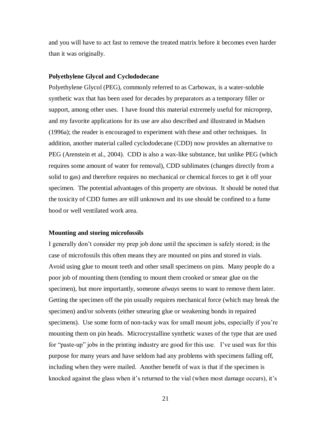and you will have to act fast to remove the treated matrix before it becomes even harder than it was originally.

#### **Polyethylene Glycol and Cyclododecane**

Polyethylene Glycol (PEG), commonly referred to as Carbowax, is a water-soluble synthetic wax that has been used for decades by preparators as a temporary filler or support, among other uses. I have found this material extremely useful for microprep, and my favorite applications for its use are also described and illustrated in Madsen (1996a); the reader is encouraged to experiment with these and other techniques. In addition, another material called cyclododecane (CDD) now provides an alternative to PEG (Arenstein et al., 2004). CDD is also a wax-like substance, but unlike PEG (which requires some amount of water for removal), CDD sublimates (changes directly from a solid to gas) and therefore requires no mechanical or chemical forces to get it off your specimen. The potential advantages of this property are obvious. It should be noted that the toxicity of CDD fumes are still unknown and its use should be confined to a fume hood or well ventilated work area.

## **Mounting and storing microfossils**

I generally don't consider my prep job done until the specimen is safely stored; in the case of microfossils this often means they are mounted on pins and stored in vials. Avoid using glue to mount teeth and other small specimens on pins. Many people do a poor job of mounting them (tending to mount them crooked or smear glue on the specimen), but more importantly, someone *always* seems to want to remove them later. Getting the specimen off the pin usually requires mechanical force (which may break the specimen) and/or solvents (either smearing glue or weakening bonds in repaired specimens). Use some form of non-tacky wax for small mount jobs, especially if you're mounting them on pin heads. Microcrystalline synthetic waxes of the type that are used for "paste-up" jobs in the printing industry are good for this use. I've used wax for this purpose for many years and have seldom had any problems with specimens falling off, including when they were mailed. Another benefit of wax is that if the specimen is knocked against the glass when it's returned to the vial (when most damage occurs), it's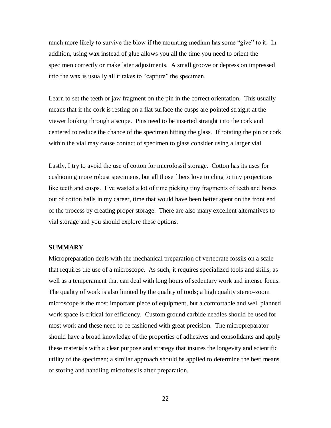much more likely to survive the blow if the mounting medium has some "give" to it. In addition, using wax instead of glue allows you all the time you need to orient the specimen correctly or make later adjustments. A small groove or depression impressed into the wax is usually all it takes to "capture" the specimen.

Learn to set the teeth or jaw fragment on the pin in the correct orientation. This usually means that if the cork is resting on a flat surface the cusps are pointed straight at the viewer looking through a scope. Pins need to be inserted straight into the cork and centered to reduce the chance of the specimen hitting the glass. If rotating the pin or cork within the vial may cause contact of specimen to glass consider using a larger vial.

Lastly, I try to avoid the use of cotton for microfossil storage. Cotton has its uses for cushioning more robust specimens, but all those fibers love to cling to tiny projections like teeth and cusps. I've wasted a lot of time picking tiny fragments of teeth and bones out of cotton balls in my career, time that would have been better spent on the front end of the process by creating proper storage. There are also many excellent alternatives to vial storage and you should explore these options.

### **SUMMARY**

Micropreparation deals with the mechanical preparation of vertebrate fossils on a scale that requires the use of a microscope. As such, it requires specialized tools and skills, as well as a temperament that can deal with long hours of sedentary work and intense focus. The quality of work is also limited by the quality of tools; a high quality stereo-zoom microscope is the most important piece of equipment, but a comfortable and well planned work space is critical for efficiency. Custom ground carbide needles should be used for most work and these need to be fashioned with great precision. The micropreparator should have a broad knowledge of the properties of adhesives and consolidants and apply these materials with a clear purpose and strategy that insures the longevity and scientific utility of the specimen; a similar approach should be applied to determine the best means of storing and handling microfossils after preparation.